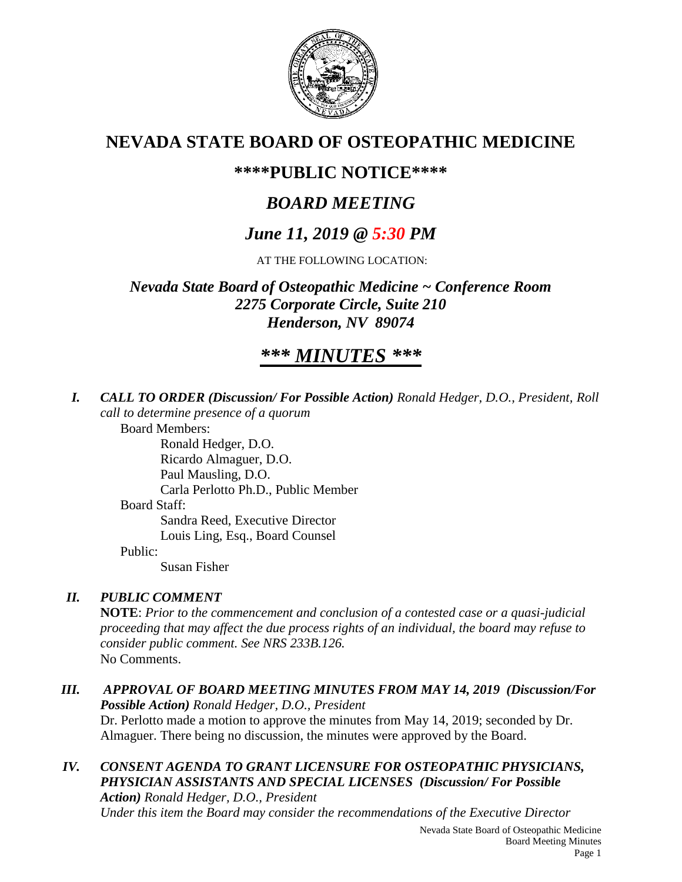

# **NEVADA STATE BOARD OF OSTEOPATHIC MEDICINE**

# **\*\*\*\*PUBLIC NOTICE\*\*\*\***

# *BOARD MEETING*

# *June 11, 2019 @ 5:30 PM*

AT THE FOLLOWING LOCATION:

*Nevada State Board of Osteopathic Medicine ~ Conference Room 2275 Corporate Circle, Suite 210 Henderson, NV 89074*

# *\*\*\* MINUTES \*\*\**

*I. CALL TO ORDER (Discussion/ For Possible Action) Ronald Hedger, D.O., President, Roll call to determine presence of a quorum*

Board Members: Ronald Hedger, D.O. Ricardo Almaguer, D.O. Paul Mausling, D.O. Carla Perlotto Ph.D., Public Member Board Staff: Sandra Reed, Executive Director Louis Ling, Esq., Board Counsel Public:

Susan Fisher

# *II. PUBLIC COMMENT*

**NOTE**: *Prior to the commencement and conclusion of a contested case or a quasi-judicial proceeding that may affect the due process rights of an individual, the board may refuse to consider public comment. See NRS 233B.126.* No Comments.

*III. APPROVAL OF BOARD MEETING MINUTES FROM MAY 14, 2019 (Discussion/For Possible Action) Ronald Hedger, D.O., President* Dr. Perlotto made a motion to approve the minutes from May 14, 2019; seconded by Dr. Almaguer. There being no discussion, the minutes were approved by the Board.

# *IV. CONSENT AGENDA TO GRANT LICENSURE FOR OSTEOPATHIC PHYSICIANS, PHYSICIAN ASSISTANTS AND SPECIAL LICENSES (Discussion/ For Possible*

*Action) Ronald Hedger, D.O., President Under this item the Board may consider the recommendations of the Executive Director*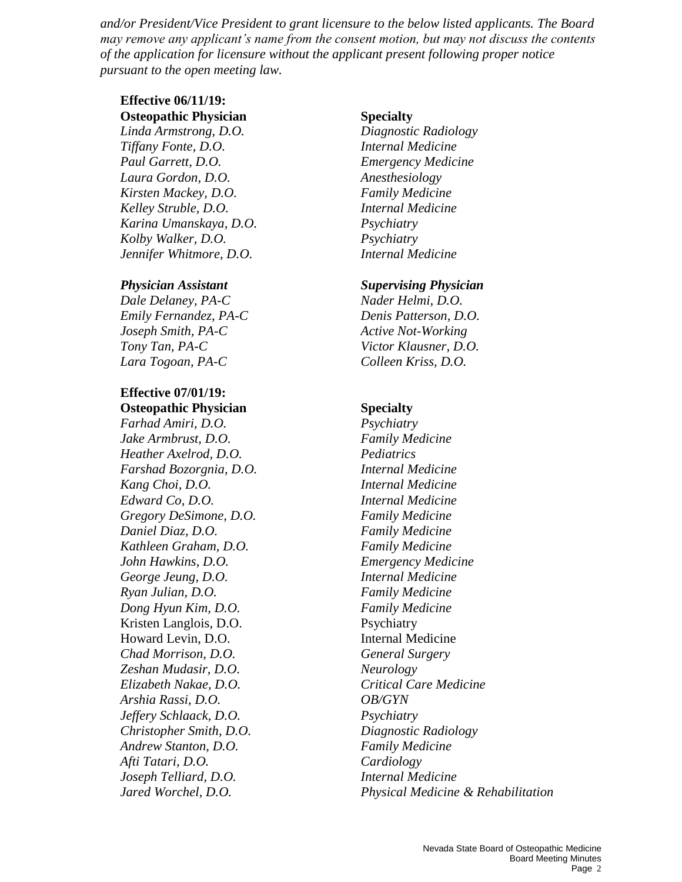*and/or President/Vice President to grant licensure to the below listed applicants. The Board may remove any applicant's name from the consent motion, but may not discuss the contents of the application for licensure without the applicant present following proper notice pursuant to the open meeting law.*

## **Effective 06/11/19: Osteopathic Physician Specialty**

*Linda Armstrong, D.O. Diagnostic Radiology Tiffany Fonte, D.O. Internal Medicine Paul Garrett, D.O. Emergency Medicine Laura Gordon, D.O. Anesthesiology Kirsten Mackey, D.O. Family Medicine Kelley Struble, D.O. Internal Medicine Karina Umanskaya, D.O. Psychiatry Kolby Walker, D.O. Psychiatry Jennifer Whitmore, D.O. Internal Medicine*

*Dale Delaney, PA-C Nader Helmi, D.O. Emily Fernandez, PA-C Denis Patterson, D.O. Joseph Smith, PA-C Active Not-Working Tony Tan, PA-C Victor Klausner, D.O. Lara Togoan, PA-C Colleen Kriss, D.O.*

#### **Effective 07/01/19: Osteopathic Physician Specialty**

*Farhad Amiri, D.O. Psychiatry Jake Armbrust, D.O. Family Medicine Heather Axelrod, D.O. Pediatrics Farshad Bozorgnia, D.O. Internal Medicine Kang Choi, D.O. Internal Medicine Edward Co, D.O. Internal Medicine Gregory DeSimone, D.O. Family Medicine Daniel Diaz, D.O. Family Medicine Kathleen Graham, D.O. Family Medicine John Hawkins, D.O. Emergency Medicine George Jeung, D.O. Internal Medicine Ryan Julian, D.O. Family Medicine Dong Hyun Kim, D.O. Family Medicine* Kristen Langlois, D.O. Psychiatry Howard Levin, D.O. Internal Medicine *Chad Morrison, D.O. General Surgery Zeshan Mudasir, D.O. Neurology Elizabeth Nakae, D.O. Critical Care Medicine Arshia Rassi, D.O. OB/GYN Jeffery Schlaack, D.O. Psychiatry Christopher Smith, D.O. Diagnostic Radiology Andrew Stanton, D.O. Family Medicine Afti Tatari, D.O. Cardiology Joseph Telliard, D.O. Internal Medicine*

#### *Physician Assistant Supervising Physician*

*Jared Worchel, D.O. Physical Medicine & Rehabilitation*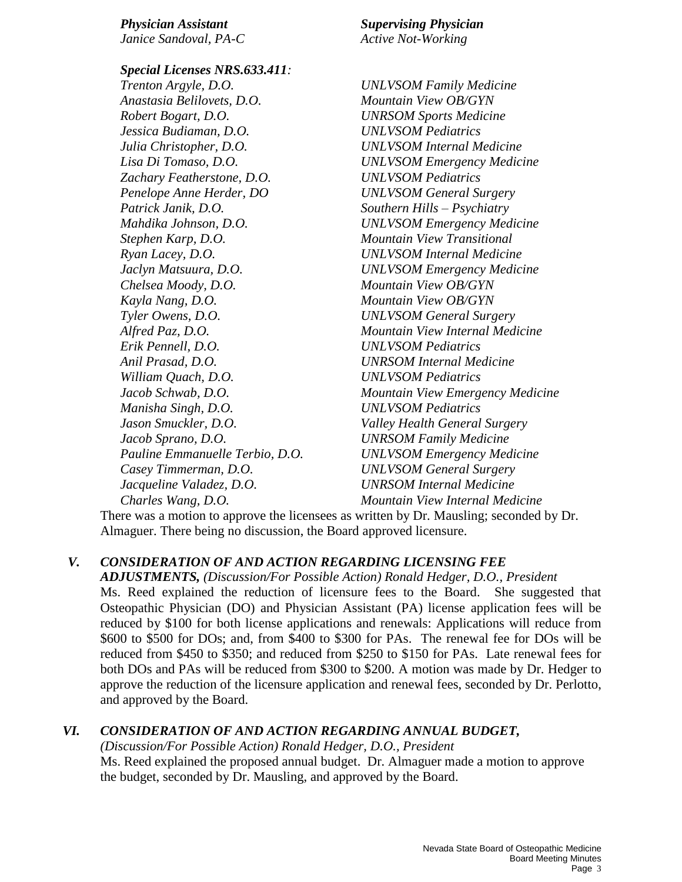*Physician Assistant Supervising Physician Janice Sandoval, PA-C Active Not-Working Special Licenses NRS.633.411: Trenton Argyle, D.O. UNLVSOM Family Medicine Anastasia Belilovets, D.O. Mountain View OB/GYN Robert Bogart, D.O. UNRSOM Sports Medicine Jessica Budiaman, D.O. UNLVSOM Pediatrics Julia Christopher, D.O. UNLVSOM Internal Medicine Lisa Di Tomaso, D.O. UNLVSOM Emergency Medicine Zachary Featherstone, D.O. UNLVSOM Pediatrics Penelope Anne Herder, DO UNLVSOM General Surgery Patrick Janik, D.O. Southern Hills – Psychiatry Mahdika Johnson, D.O. UNLVSOM Emergency Medicine Stephen Karp, D.O. Mountain View Transitional Ryan Lacey, D.O. UNLVSOM Internal Medicine Jaclyn Matsuura, D.O. UNLVSOM Emergency Medicine Chelsea Moody, D.O. Mountain View OB/GYN Kayla Nang, D.O. Mountain View OB/GYN Tyler Owens, D.O. UNLVSOM General Surgery Alfred Paz, D.O. Mountain View Internal Medicine Erik Pennell, D.O. UNLVSOM Pediatrics Anil Prasad, D.O. UNRSOM Internal Medicine William Quach, D.O. UNLVSOM Pediatrics Manisha Singh, D.O. UNLVSOM Pediatrics Jason Smuckler, D.O. Valley Health General Surgery Jacob Sprano, D.O. UNRSOM Family Medicine Pauline Emmanuelle Terbio, D.O. UNLVSOM Emergency Medicine Casey Timmerman, D.O. UNLVSOM General Surgery Jacqueline Valadez, D.O. UNRSOM Internal Medicine Charles Wang, D.O. Mountain View Internal Medicine*

*Jacob Schwab, D.O. Mountain View Emergency Medicine*

There was a motion to approve the licensees as written by Dr. Mausling; seconded by Dr. Almaguer. There being no discussion, the Board approved licensure.

# *V. CONSIDERATION OF AND ACTION REGARDING LICENSING FEE*

*ADJUSTMENTS, (Discussion/For Possible Action) Ronald Hedger, D.O., President* Ms. Reed explained the reduction of licensure fees to the Board. She suggested that Osteopathic Physician (DO) and Physician Assistant (PA) license application fees will be reduced by \$100 for both license applications and renewals: Applications will reduce from \$600 to \$500 for DOs; and, from \$400 to \$300 for PAs. The renewal fee for DOs will be reduced from \$450 to \$350; and reduced from \$250 to \$150 for PAs. Late renewal fees for both DOs and PAs will be reduced from \$300 to \$200. A motion was made by Dr. Hedger to approve the reduction of the licensure application and renewal fees, seconded by Dr. Perlotto, and approved by the Board.

# *VI. CONSIDERATION OF AND ACTION REGARDING ANNUAL BUDGET,*

*(Discussion/For Possible Action) Ronald Hedger, D.O., President* Ms. Reed explained the proposed annual budget. Dr. Almaguer made a motion to approve the budget, seconded by Dr. Mausling, and approved by the Board.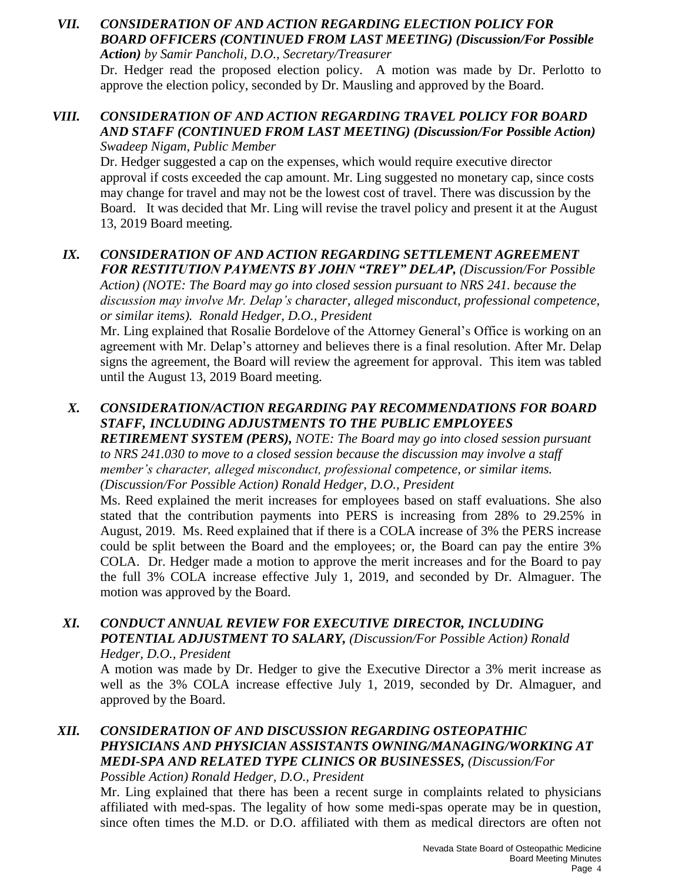#### *VII. CONSIDERATION OF AND ACTION REGARDING ELECTION POLICY FOR BOARD OFFICERS (CONTINUED FROM LAST MEETING) (Discussion/For Possible Action) by Samir Pancholi, D.O., Secretary/Treasurer*

Dr. Hedger read the proposed election policy. A motion was made by Dr. Perlotto to approve the election policy, seconded by Dr. Mausling and approved by the Board.

## *VIII. CONSIDERATION OF AND ACTION REGARDING TRAVEL POLICY FOR BOARD AND STAFF (CONTINUED FROM LAST MEETING) (Discussion/For Possible Action) Swadeep Nigam, Public Member*

Dr. Hedger suggested a cap on the expenses, which would require executive director approval if costs exceeded the cap amount. Mr. Ling suggested no monetary cap, since costs may change for travel and may not be the lowest cost of travel. There was discussion by the Board. It was decided that Mr. Ling will revise the travel policy and present it at the August 13, 2019 Board meeting.

## *IX. CONSIDERATION OF AND ACTION REGARDING SETTLEMENT AGREEMENT FOR RESTITUTION PAYMENTS BY JOHN "TREY" DELAP, (Discussion/For Possible*

*Action) (NOTE: The Board may go into closed session pursuant to NRS 241. because the discussion may involve Mr. Delap's character, alleged misconduct, professional competence, or similar items). Ronald Hedger, D.O., President*

Mr. Ling explained that Rosalie Bordelove of the Attorney General's Office is working on an agreement with Mr. Delap's attorney and believes there is a final resolution. After Mr. Delap signs the agreement, the Board will review the agreement for approval. This item was tabled until the August 13, 2019 Board meeting.

# *X. CONSIDERATION/ACTION REGARDING PAY RECOMMENDATIONS FOR BOARD STAFF, INCLUDING ADJUSTMENTS TO THE PUBLIC EMPLOYEES*

*RETIREMENT SYSTEM (PERS), NOTE: The Board may go into closed session pursuant to NRS 241.030 to move to a closed session because the discussion may involve a staff member's character, alleged misconduct, professional competence, or similar items. (Discussion/For Possible Action) Ronald Hedger, D.O., President*

Ms. Reed explained the merit increases for employees based on staff evaluations. She also stated that the contribution payments into PERS is increasing from 28% to 29.25% in August, 2019. Ms. Reed explained that if there is a COLA increase of 3% the PERS increase could be split between the Board and the employees; or, the Board can pay the entire 3% COLA. Dr. Hedger made a motion to approve the merit increases and for the Board to pay the full 3% COLA increase effective July 1, 2019, and seconded by Dr. Almaguer. The motion was approved by the Board.

#### *XI. CONDUCT ANNUAL REVIEW FOR EXECUTIVE DIRECTOR, INCLUDING POTENTIAL ADJUSTMENT TO SALARY, (Discussion/For Possible Action) Ronald Hedger, D.O., President*

A motion was made by Dr. Hedger to give the Executive Director a 3% merit increase as well as the 3% COLA increase effective July 1, 2019, seconded by Dr. Almaguer, and approved by the Board.

# *XII. CONSIDERATION OF AND DISCUSSION REGARDING OSTEOPATHIC PHYSICIANS AND PHYSICIAN ASSISTANTS OWNING/MANAGING/WORKING AT MEDI-SPA AND RELATED TYPE CLINICS OR BUSINESSES, (Discussion/For*

*Possible Action) Ronald Hedger, D.O., President*

Mr. Ling explained that there has been a recent surge in complaints related to physicians affiliated with med-spas. The legality of how some medi-spas operate may be in question, since often times the M.D. or D.O. affiliated with them as medical directors are often not